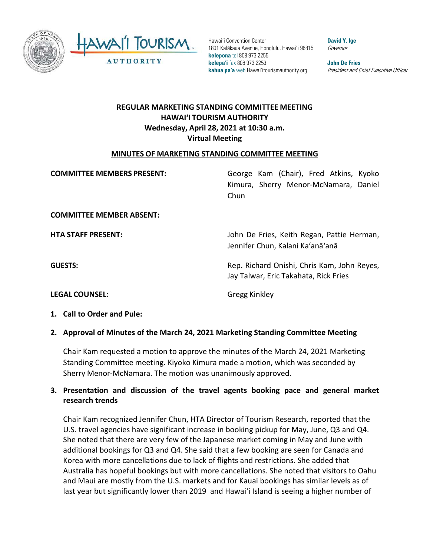

 **kelepona** tel 808 973 2255 **kelepa'i** fax 808 973 2253 **John De Fries**  Hawai'i Convention Center **David Y. Ige Convention Center** 1801 Kalākaua Avenue, Honolulu, Hawai'i 96815 Governor **kahua pa'a** web [Hawai'itourismauthority.org](https://Hawai�itourismauthority.org) *President and Chief Executive Officer* 

# **HAWAI'I TOURISM AUTHORITY REGULAR MARKETING STANDING COMMITTEE MEETING Wednesday, April 28, 2021 at 10:30 a.m. Virtual Meeting**

### **MINUTES OF MARKETING STANDING COMMITTEE MEETING**

| <b>COMMITTEE MEMBERS PRESENT:</b> | George Kam (Chair), Fred Atkins, Kyoko<br>Kimura, Sherry Menor-McNamara, Daniel<br>Chun |
|-----------------------------------|-----------------------------------------------------------------------------------------|
| <b>COMMITTEE MEMBER ABSENT:</b>   |                                                                                         |
| <b>HTA STAFF PRESENT:</b>         | John De Fries, Keith Regan, Pattie Herman,<br>Jennifer Chun, Kalani Ka'anā'anā          |
| <b>GUESTS:</b>                    | Rep. Richard Onishi, Chris Kam, John Reyes,<br>Jay Talwar, Eric Takahata, Rick Fries    |
| <b>LEGAL COUNSEL:</b>             | <b>Gregg Kinkley</b>                                                                    |

 **1. Call to Order and Pule:** 

### **2. Approval of Minutes of the March 24, 2021 Marketing Standing Committee Meeting**

 Chair Kam requested a motion to approve the minutes of the March 24, 2021 Marketing Standing Committee meeting. Kiyoko Kimura made a motion, which was seconded by Sherry Menor-McNamara. The motion was unanimously approved.

### **3. Presentation and discussion of the travel agents booking pace and general market research trends**

 additional bookings for Q3 and Q4. She said that a few booking are seen for Canada and Korea with more cancellations due to lack of flights and restrictions. She added that and Maui are mostly from the U.S. markets and for Kauai bookings has similar levels as of last year but significantly lower than 2019 and Hawai'i Island is seeing a higher number of Chair Kam recognized Jennifer Chun, HTA Director of Tourism Research, reported that the U.S. travel agencies have significant increase in booking pickup for May, June, Q3 and Q4. She noted that there are very few of the Japanese market coming in May and June with Australia has hopeful bookings but with more cancellations. She noted that visitors to Oahu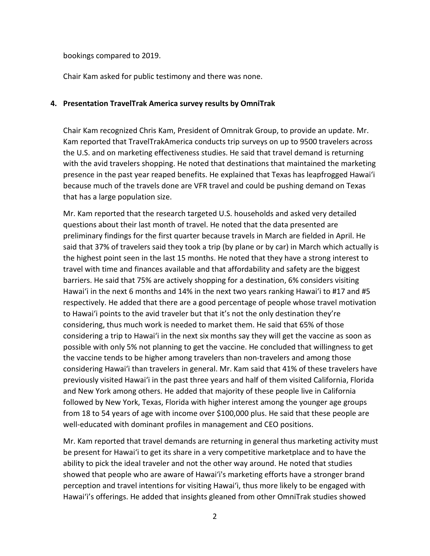bookings compared to 2019.

Chair Kam asked for public testimony and there was none.

### **4. Presentation TravelTrak America survey results by OmniTrak**

 the U.S. and on marketing effectiveness studies. He said that travel demand is returning with the avid travelers shopping. He noted that destinations that maintained the marketing presence in the past year reaped benefits. He explained that Texas has leapfrogged Hawai'i because much of the travels done are VFR travel and could be pushing demand on Texas Chair Kam recognized Chris Kam, President of Omnitrak Group, to provide an update. Mr. Kam reported that TravelTrakAmerica conducts trip surveys on up to 9500 travelers across that has a large population size.

 preliminary findings for the first quarter because travels in March are fielded in April. He the highest point seen in the last 15 months. He noted that they have a strong interest to travel with time and finances available and that affordability and safety are the biggest barriers. He said that 75% are actively shopping for a destination, 6% considers visiting Hawai'i in the next 6 months and 14% in the next two years ranking Hawai'i to #17 and #5 considering, thus much work is needed to market them. He said that 65% of those considering a trip to Hawai'i in the next six months say they will get the vaccine as soon as considering Hawai'i than travelers in general. Mr. Kam said that 41% of these travelers have previously visited Hawai'i in the past three years and half of them visited California, Florida from 18 to 54 years of age with income over \$100,000 plus. He said that these people are Mr. Kam reported that the research targeted U.S. households and asked very detailed questions about their last month of travel. He noted that the data presented are said that 37% of travelers said they took a trip (by plane or by car) in March which actually is respectively. He added that there are a good percentage of people whose travel motivation to Hawai'i points to the avid traveler but that it's not the only destination they're possible with only 5% not planning to get the vaccine. He concluded that willingness to get the vaccine tends to be higher among travelers than non-travelers and among those and New York among others. He added that majority of these people live in California followed by New York, Texas, Florida with higher interest among the younger age groups well-educated with dominant profiles in management and CEO positions.

 ability to pick the ideal traveler and not the other way around. He noted that studies showed that people who are aware of Hawai'i's marketing efforts have a stronger brand perception and travel intentions for visiting Hawai'i, thus more likely to be engaged with Mr. Kam reported that travel demands are returning in general thus marketing activity must be present for Hawai'i to get its share in a very competitive marketplace and to have the Hawai'i's offerings. He added that insights gleaned from other OmniTrak studies showed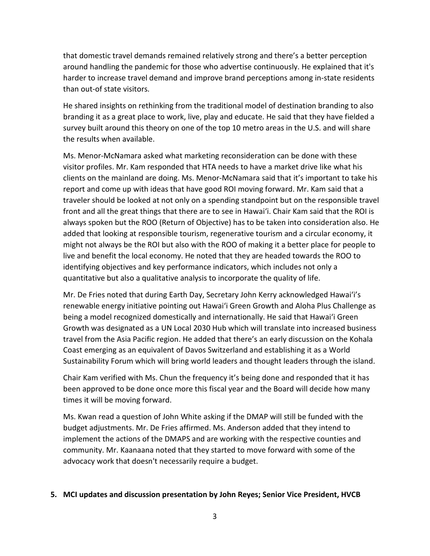harder to increase travel demand and improve brand perceptions among in-state residents that domestic travel demands remained relatively strong and there's a better perception around handling the pandemic for those who advertise continuously. He explained that it's than out-of state visitors.

 He shared insights on rethinking from the traditional model of destination branding to also branding it as a great place to work, live, play and educate. He said that they have fielded a survey built around this theory on one of the top 10 metro areas in the U.S. and will share the results when available.

 visitor profiles. Mr. Kam responded that HTA needs to have a market drive like what his front and all the great things that there are to see in Hawai'i. Chair Kam said that the ROI is always spoken but the ROO (Return of Objective) has to be taken into consideration also. He added that looking at responsible tourism, regenerative tourism and a circular economy, it live and benefit the local economy. He noted that they are headed towards the ROO to Ms. Menor-McNamara asked what marketing reconsideration can be done with these clients on the mainland are doing. Ms. Menor-McNamara said that it's important to take his report and come up with ideas that have good ROI moving forward. Mr. Kam said that a traveler should be looked at not only on a spending standpoint but on the responsible travel might not always be the ROI but also with the ROO of making it a better place for people to identifying objectives and key performance indicators, which includes not only a quantitative but also a qualitative analysis to incorporate the quality of life.

 being a model recognized domestically and internationally. He said that Hawai'i Green Growth was designated as a UN Local 2030 Hub which will translate into increased business Mr. De Fries noted that during Earth Day, Secretary John Kerry acknowledged Hawai'i's renewable energy initiative pointing out Hawai'i Green Growth and Aloha Plus Challenge as travel from the Asia Pacific region. He added that there's an early discussion on the Kohala Coast emerging as an equivalent of Davos Switzerland and establishing it as a World Sustainability Forum which will bring world leaders and thought leaders through the island.

 been approved to be done once more this fiscal year and the Board will decide how many times it will be moving forward. Chair Kam verified with Ms. Chun the frequency it's being done and responded that it has

 Ms. Kwan read a question of John White asking if the DMAP will still be funded with the budget adjustments. Mr. De Fries affirmed. Ms. Anderson added that they intend to implement the actions of the DMAPS and are working with the respective counties and community. Mr. Kaanaana noted that they started to move forward with some of the advocacy work that doesn't necessarily require a budget.

### **5. MCI updates and discussion presentation by John Reyes; Senior Vice President, HVCB**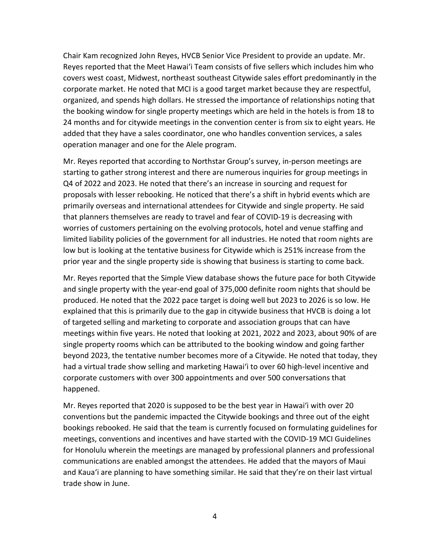covers west coast, Midwest, northeast southeast Citywide sales effort predominantly in the 24 months and for citywide meetings in the convention center is from six to eight years. He operation manager and one for the Alele program. Chair Kam recognized John Reyes, HVCB Senior Vice President to provide an update. Mr. Reyes reported that the Meet Hawai'i Team consists of five sellers which includes him who corporate market. He noted that MCI is a good target market because they are respectful, organized, and spends high dollars. He stressed the importance of relationships noting that the booking window for single property meetings which are held in the hotels is from 18 to added that they have a sales coordinator, one who handles convention services, a sales

 Mr. Reyes reported that according to Northstar Group's survey, in-person meetings are proposals with lesser rebooking. He noticed that there's a shift in hybrid events which are primarily overseas and international attendees for Citywide and single property. He said that planners themselves are ready to travel and fear of COVID-19 is decreasing with limited liability policies of the government for all industries. He noted that room nights are low but is looking at the tentative business for Citywide which is 251% increase from the starting to gather strong interest and there are numerous inquiries for group meetings in Q4 of 2022 and 2023. He noted that there's an increase in sourcing and request for worries of customers pertaining on the evolving protocols, hotel and venue staffing and prior year and the single property side is showing that business is starting to come back.

 explained that this is primarily due to the gap in citywide business that HVCB is doing a lot beyond 2023, the tentative number becomes more of a Citywide. He noted that today, they had a virtual trade show selling and marketing Hawai'i to over 60 high-level incentive and Mr. Reyes reported that the Simple View database shows the future pace for both Citywide and single property with the year-end goal of 375,000 definite room nights that should be produced. He noted that the 2022 pace target is doing well but 2023 to 2026 is so low. He of targeted selling and marketing to corporate and association groups that can have meetings within five years. He noted that looking at 2021, 2022 and 2023, about 90% of are single property rooms which can be attributed to the booking window and going farther corporate customers with over 300 appointments and over 500 conversations that happened.

 conventions but the pandemic impacted the Citywide bookings and three out of the eight and Kaua'i are planning to have something similar. He said that they're on their last virtual Mr. Reyes reported that 2020 is supposed to be the best year in Hawai'i with over 20 bookings rebooked. He said that the team is currently focused on formulating guidelines for meetings, conventions and incentives and have started with the COVID-19 MCI Guidelines for Honolulu wherein the meetings are managed by professional planners and professional communications are enabled amongst the attendees. He added that the mayors of Maui trade show in June.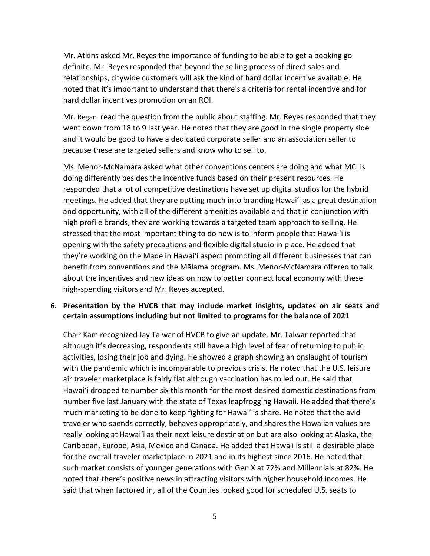Mr. Atkins asked Mr. Reyes the importance of funding to be able to get a booking go definite. Mr. Reyes responded that beyond the selling process of direct sales and relationships, citywide customers will ask the kind of hard dollar incentive available. He noted that it's important to understand that there's a criteria for rental incentive and for hard dollar incentives promotion on an ROI.

 Mr. Regan read the question from the public about staffing. Mr. Reyes responded that they went down from 18 to 9 last year. He noted that they are good in the single property side because these are targeted sellers and know who to sell to. and it would be good to have a dedicated corporate seller and an association seller to

 meetings. He added that they are putting much into branding Hawai'i as a great destination and opportunity, with all of the different amenities available and that in conjunction with high profile brands, they are working towards a targeted team approach to selling. He they're working on the Made in Hawai'i aspect promoting all different businesses that can about the incentives and new ideas on how to better connect local economy with these Ms. Menor-McNamara asked what other conventions centers are doing and what MCI is doing differently besides the incentive funds based on their present resources. He responded that a lot of competitive destinations have set up digital studios for the hybrid stressed that the most important thing to do now is to inform people that Hawai'i is opening with the safety precautions and flexible digital studio in place. He added that benefit from conventions and the Mālama program. Ms. Menor-McNamara offered to talk high-spending visitors and Mr. Reyes accepted.

## **certain assumptions including but not limited to programs for the balance of 2021 6. Presentation by the HVCB that may include market insights, updates on air seats and**

 Chair Kam recognized Jay Talwar of HVCB to give an update. Mr. Talwar reported that although it's decreasing, respondents still have a high level of fear of returning to public air traveler marketplace is fairly flat although vaccination has rolled out. He said that number five last January with the state of Texas leapfrogging Hawaii. He added that there's much marketing to be done to keep fighting for Hawai'i's share. He noted that the avid really looking at Hawai'i as their next leisure destination but are also looking at Alaska, the Caribbean, Europe, Asia, Mexico and Canada. He added that Hawaii is still a desirable place activities, losing their job and dying. He showed a graph showing an onslaught of tourism with the pandemic which is incomparable to previous crisis. He noted that the U.S. leisure Hawai'i dropped to number six this month for the most desired domestic destinations from traveler who spends correctly, behaves appropriately, and shares the Hawaiian values are for the overall traveler marketplace in 2021 and in its highest since 2016. He noted that such market consists of younger generations with Gen X at 72% and Millennials at 82%. He noted that there's positive news in attracting visitors with higher household incomes. He said that when factored in, all of the Counties looked good for scheduled U.S. seats to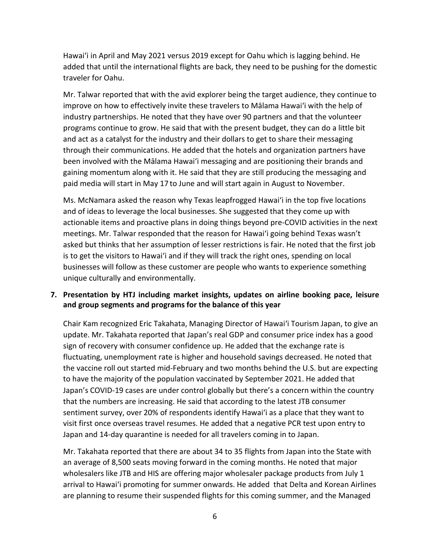Hawai'i in April and May 2021 versus 2019 except for Oahu which is lagging behind. He added that until the international flights are back, they need to be pushing for the domestic traveler for Oahu.

 Mr. Talwar reported that with the avid explorer being the target audience, they continue to improve on how to effectively invite these travelers to Mālama Hawai'i with the help of programs continue to grow. He said that with the present budget, they can do a little bit and act as a catalyst for the industry and their dollars to get to share their messaging through their communications. He added that the hotels and organization partners have been involved with the Mālama Hawai'i messaging and are positioning their brands and paid media will start in May 17 to June and will start again in August to November. industry partnerships. He noted that they have over 90 partners and that the volunteer gaining momentum along with it. He said that they are still producing the messaging and

 asked but thinks that her assumption of lesser restrictions is fair. He noted that the first job is to get the visitors to Hawai'i and if they will track the right ones, spending on local businesses will follow as these customer are people who wants to experience something Ms. McNamara asked the reason why Texas leapfrogged Hawai'i in the top five locations and of ideas to leverage the local businesses. She suggested that they come up with actionable items and proactive plans in doing things beyond pre-COVID activities in the next meetings. Mr. Talwar responded that the reason for Hawai'i going behind Texas wasn't unique culturally and environmentally.

## **7. Presentation by HTJ including market insights, updates on airline booking pace, leisure and group segments and programs for the balance of this year**

 Chair Kam recognized Eric Takahata, Managing Director of Hawai'i Tourism Japan, to give an to have the majority of the population vaccinated by September 2021. He added that update. Mr. Takahata reported that Japan's real GDP and consumer price index has a good sign of recovery with consumer confidence up. He added that the exchange rate is fluctuating, unemployment rate is higher and household savings decreased. He noted that the vaccine roll out started mid-February and two months behind the U.S. but are expecting Japan's COVID-19 cases are under control globally but there's a concern within the country that the numbers are increasing. He said that according to the latest JTB consumer sentiment survey, over 20% of respondents identify Hawai'i as a place that they want to visit first once overseas travel resumes. He added that a negative PCR test upon entry to Japan and 14-day quarantine is needed for all travelers coming in to Japan.

 Mr. Takahata reported that there are about 34 to 35 flights from Japan into the State with wholesalers like JTB and HIS are offering major wholesaler package products from July 1 arrival to Hawai'i promoting for summer onwards. He added that Delta and Korean Airlines an average of 8,500 seats moving forward in the coming months. He noted that major are planning to resume their suspended flights for this coming summer, and the Managed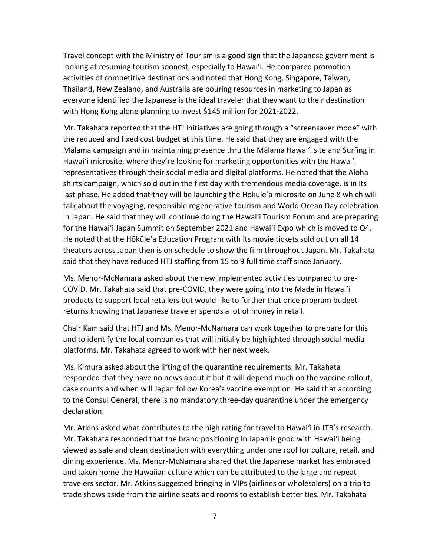with Hong Kong alone planning to invest \$145 million for 2021-2022. Travel concept with the Ministry of Tourism is a good sign that the Japanese government is looking at resuming tourism soonest, especially to Hawai'i. He compared promotion activities of competitive destinations and noted that Hong Kong, Singapore, Taiwan, Thailand, New Zealand, and Australia are pouring resources in marketing to Japan as everyone identified the Japanese is the ideal traveler that they want to their destination

 Mālama campaign and in maintaining presence thru the Mālama Hawai'i site and Surfing in Hawai'i microsite, where they're looking for marketing opportunities with the Hawai'i representatives through their social media and digital platforms. He noted that the Aloha shirts campaign, which sold out in the first day with tremendous media coverage, is in its last phase. He added that they will be launching the Hokule'a microsite on June 8 which will in Japan. He said that they will continue doing the Hawai'i Tourism Forum and are preparing theaters across Japan then is on schedule to show the film throughout Japan. Mr. Takahata said that they have reduced HTJ staffing from 15 to 9 full time staff since January. Mr. Takahata reported that the HTJ initiatives are going through a "screensaver mode" with the reduced and fixed cost budget at this time. He said that they are engaged with the talk about the voyaging, responsible regenerative tourism and World Ocean Day celebration for the Hawai'i Japan Summit on September 2021 and Hawai'i Expo which is moved to Q4. He noted that the Hōkūle'a Education Program with its movie tickets sold out on all 14

 COVID. Mr. Takahata said that pre-COVID, they were going into the Made in Hawai'i products to support local retailers but would like to further that once program budget Ms. Menor-McNamara asked about the new implemented activities compared to prereturns knowing that Japanese traveler spends a lot of money in retail.

 platforms. Mr. Takahata agreed to work with her next week. Chair Kam said that HTJ and Ms. Menor-McNamara can work together to prepare for this and to identify the local companies that will initially be highlighted through social media

 Ms. Kimura asked about the lifting of the quarantine requirements. Mr. Takahata case counts and when will Japan follow Korea's vaccine exemption. He said that according responded that they have no news about it but it will depend much on the vaccine rollout, to the Consul General, there is no mandatory three-day quarantine under the emergency declaration.

 Mr. Atkins asked what contributes to the high rating for travel to Hawai'i in JTB's research. and taken home the Hawaiian culture which can be attributed to the large and repeat Mr. Takahata responded that the brand positioning in Japan is good with Hawai'i being viewed as safe and clean destination with everything under one roof for culture, retail, and dining experience. Ms. Menor-McNamara shared that the Japanese market has embraced travelers sector. Mr. Atkins suggested bringing in VIPs (airlines or wholesalers) on a trip to trade shows aside from the airline seats and rooms to establish better ties. Mr. Takahata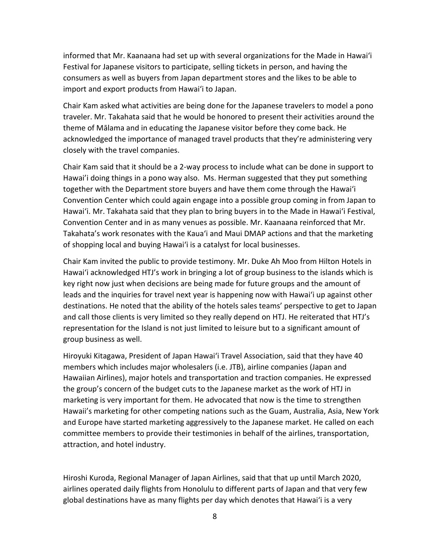informed that Mr. Kaanaana had set up with several organizations for the Made in Hawai'i Festival for Japanese visitors to participate, selling tickets in person, and having the import and export products from Hawai'i to Japan. consumers as well as buyers from Japan department stores and the likes to be able to

 Chair Kam asked what activities are being done for the Japanese travelers to model a pono traveler. Mr. Takahata said that he would be honored to present their activities around the theme of Mālama and in educating the Japanese visitor before they come back. He acknowledged the importance of managed travel products that they're administering very closely with the travel companies.

 Hawai'i doing things in a pono way also. Ms. Herman suggested that they put something together with the Department store buyers and have them come through the Hawai'i Convention Center which could again engage into a possible group coming in from Japan to Hawai'i. Mr. Takahata said that they plan to bring buyers in to the Made in Hawai'i Festival, of shopping local and buying Hawai'i is a catalyst for local businesses. Chair Kam said that it should be a 2-way process to include what can be done in support to Convention Center and in as many venues as possible. Mr. Kaanaana reinforced that Mr. Takahata's work resonates with the Kaua'i and Maui DMAP actions and that the marketing

 Chair Kam invited the public to provide testimony. Mr. Duke Ah Moo from Hilton Hotels in destinations. He noted that the ability of the hotels sales teams' perspective to get to Japan Hawai'i acknowledged HTJ's work in bringing a lot of group business to the islands which is key right now just when decisions are being made for future groups and the amount of leads and the inquiries for travel next year is happening now with Hawai'i up against other and call those clients is very limited so they really depend on HTJ. He reiterated that HTJ's representation for the Island is not just limited to leisure but to a significant amount of group business as well.

 members which includes major wholesalers (i.e. JTB), airline companies (Japan and the group's concern of the budget cuts to the Japanese market as the work of HTJ in marketing is very important for them. He advocated that now is the time to strengthen Hawaii's marketing for other competing nations such as the Guam, Australia, Asia, New York and Europe have started marketing aggressively to the Japanese market. He called on each committee members to provide their testimonies in behalf of the airlines, transportation, attraction, and hotel industry. Hiroyuki Kitagawa, President of Japan Hawai'i Travel Association, said that they have 40 Hawaiian Airlines), major hotels and transportation and traction companies. He expressed

attraction, and hotel industry.<br>Hiroshi Kuroda, Regional Manager of Japan Airlines, said that that up until March 2020, airlines operated daily flights from Honolulu to different parts of Japan and that very few global destinations have as many flights per day which denotes that Hawai'i is a very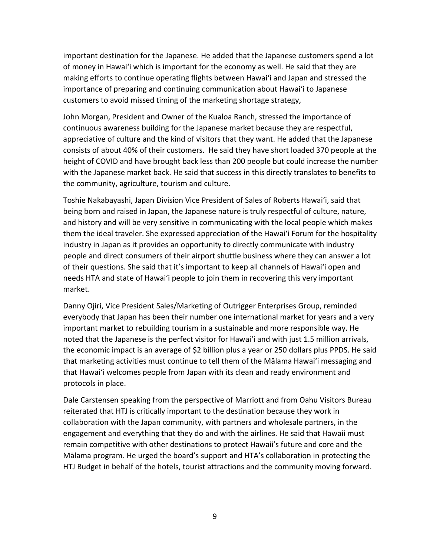of money in Hawai'i which is important for the economy as well. He said that they are important destination for the Japanese. He added that the Japanese customers spend a lot making efforts to continue operating flights between Hawai'i and Japan and stressed the importance of preparing and continuing communication about Hawai'i to Japanese customers to avoid missed timing of the marketing shortage strategy,

 John Morgan, President and Owner of the Kualoa Ranch, stressed the importance of consists of about 40% of their customers. He said they have short loaded 370 people at the height of COVID and have brought back less than 200 people but could increase the number with the Japanese market back. He said that success in this directly translates to benefits to the community, agriculture, tourism and culture. continuous awareness building for the Japanese market because they are respectful, appreciative of culture and the kind of visitors that they want. He added that the Japanese

 being born and raised in Japan, the Japanese nature is truly respectful of culture, nature, and history and will be very sensitive in communicating with the local people which makes them the ideal traveler. She expressed appreciation of the Hawai'i Forum for the hospitality people and direct consumers of their airport shuttle business where they can answer a lot needs HTA and state of Hawai'i people to join them in recovering this very important Toshie Nakabayashi, Japan Division Vice President of Sales of Roberts Hawai'i, said that industry in Japan as it provides an opportunity to directly communicate with industry of their questions. She said that it's important to keep all channels of Hawai'i open and market.

 important market to rebuilding tourism in a sustainable and more responsible way. He noted that the Japanese is the perfect visitor for Hawai'i and with just 1.5 million arrivals, that marketing activities must continue to tell them of the Mālama Hawai'i messaging and that Hawai'i welcomes people from Japan with its clean and ready environment and Danny Ojiri, Vice President Sales/Marketing of Outrigger Enterprises Group, reminded everybody that Japan has been their number one international market for years and a very the economic impact is an average of \$2 billion plus a year or 250 dollars plus PPDS. He said protocols in place.

 reiterated that HTJ is critically important to the destination because they work in engagement and everything that they do and with the airlines. He said that Hawaii must Mālama program. He urged the board's support and HTA's collaboration in protecting the HTJ Budget in behalf of the hotels, tourist attractions and the community moving forward. Dale Carstensen speaking from the perspective of Marriott and from Oahu Visitors Bureau collaboration with the Japan community, with partners and wholesale partners, in the remain competitive with other destinations to protect Hawaii's future and core and the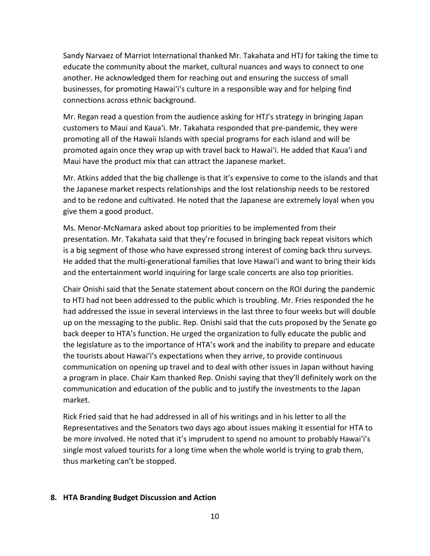educate the community about the market, cultural nuances and ways to connect to one businesses, for promoting Hawai'i's culture in a responsible way and for helping find Sandy Narvaez of Marriot International thanked Mr. Takahata and HTJ for taking the time to another. He acknowledged them for reaching out and ensuring the success of small connections across ethnic background.

 customers to Maui and Kaua'i. Mr. Takahata responded that pre-pandemic, they were promoting all of the Hawaii Islands with special programs for each island and will be promoted again once they wrap up with travel back to Hawai'i. He added that Kaua'i and Mr. Regan read a question from the audience asking for HTJ's strategy in bringing Japan Maui have the product mix that can attract the Japanese market.

give them a good product. Mr. Atkins added that the big challenge is that it's expensive to come to the islands and that the Japanese market respects relationships and the lost relationship needs to be restored and to be redone and cultivated. He noted that the Japanese are extremely loyal when you

 presentation. Mr. Takahata said that they're focused in bringing back repeat visitors which is a big segment of those who have expressed strong interest of coming back thru surveys. He added that the multi-generational families that love Hawai'i and want to bring their kids Ms. Menor-McNamara asked about top priorities to be implemented from their and the entertainment world inquiring for large scale concerts are also top priorities.

 Chair Onishi said that the Senate statement about concern on the ROI during the pandemic to HTJ had not been addressed to the public which is troubling. Mr. Fries responded the he up on the messaging to the public. Rep. Onishi said that the cuts proposed by the Senate go back deeper to HTA's function. He urged the organization to fully educate the public and the tourists about Hawai'i's expectations when they arrive, to provide continuous communication on opening up travel and to deal with other issues in Japan without having had addressed the issue in several interviews in the last three to four weeks but will double the legislature as to the importance of HTA's work and the inability to prepare and educate a program in place. Chair Kam thanked Rep. Onishi saying that they'll definitely work on the communication and education of the public and to justify the investments to the Japan market.

 Rick Fried said that he had addressed in all of his writings and in his letter to all the Representatives and the Senators two days ago about issues making it essential for HTA to single most valued tourists for a long time when the whole world is trying to grab them, be more involved. He noted that it's imprudent to spend no amount to probably Hawai'i's thus marketing can't be stopped.

### **8. HTA Branding Budget Discussion and Action**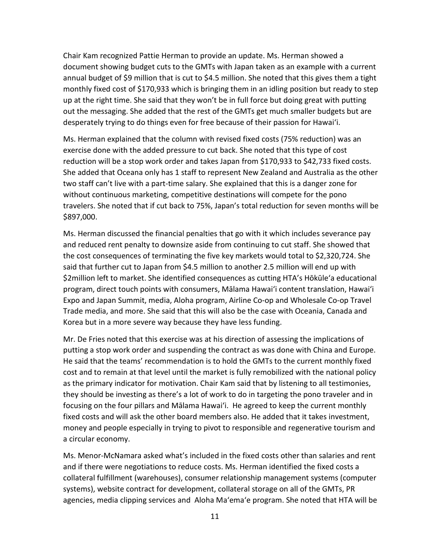document showing budget cuts to the GMTs with Japan taken as an example with a current up at the right time. She said that they won't be in full force but doing great with putting out the messaging. She added that the rest of the GMTs get much smaller budgets but are desperately trying to do things even for free because of their passion for Hawai'i. Chair Kam recognized Pattie Herman to provide an update. Ms. Herman showed a annual budget of \$9 million that is cut to \$4.5 million. She noted that this gives them a tight monthly fixed cost of \$170,933 which is bringing them in an idling position but ready to step

 exercise done with the added pressure to cut back. She noted that this type of cost She added that Oceana only has 1 staff to represent New Zealand and Australia as the other two staff can't live with a part-time salary. She explained that this is a danger zone for without continuous marketing, competitive destinations will compete for the pono Ms. Herman explained that the column with revised fixed costs (75% reduction) was an reduction will be a stop work order and takes Japan from \$170,933 to \$42,733 fixed costs. travelers. She noted that if cut back to 75%, Japan's total reduction for seven months will be \$897,000.

 Ms. Herman discussed the financial penalties that go with it which includes severance pay and reduced rent penalty to downsize aside from continuing to cut staff. She showed that the cost consequences of terminating the five key markets would total to \$2,320,724. She program, direct touch points with consumers, Mālama Hawai'i content translation, Hawai'i Expo and Japan Summit, media, Aloha program, Airline Co-op and Wholesale Co-op Travel Trade media, and more. She said that this will also be the case with Oceania, Canada and Korea but in a more severe way because they have less funding. said that further cut to Japan from \$4.5 million to another 2.5 million will end up with \$2million left to market. She identified consequences as cutting HTA's Hōkūle'a educational

 Mr. De Fries noted that this exercise was at his direction of assessing the implications of putting a stop work order and suspending the contract as was done with China and Europe. cost and to remain at that level until the market is fully remobilized with the national policy as the primary indicator for motivation. Chair Kam said that by listening to all testimonies, focusing on the four pillars and Mālama Hawai'i. He agreed to keep the current monthly fixed costs and will ask the other board members also. He added that it takes investment, a circular economy. He said that the teams' recommendation is to hold the GMTs to the current monthly fixed they should be investing as there's a lot of work to do in targeting the pono traveler and in money and people especially in trying to pivot to responsible and regenerative tourism and

 and if there were negotiations to reduce costs. Ms. Herman identified the fixed costs a agencies, media clipping services and Aloha Ma'ema'e program. She noted that HTA will be Ms. Menor-McNamara asked what's included in the fixed costs other than salaries and rent collateral fulfillment (warehouses), consumer relationship management systems (computer systems), website contract for development, collateral storage on all of the GMTs, PR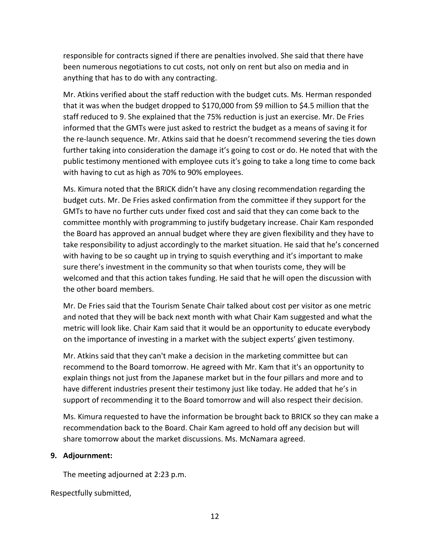anything that has to do with any contracting. responsible for contracts signed if there are penalties involved. She said that there have been numerous negotiations to cut costs, not only on rent but also on media and in

 that it was when the budget dropped to \$170,000 from \$9 million to \$4.5 million that the staff reduced to 9. She explained that the 75% reduction is just an exercise. Mr. De Fries informed that the GMTs were just asked to restrict the budget as a means of saving it for the re-launch sequence. Mr. Atkins said that he doesn't recommend severing the ties down further taking into consideration the damage it's going to cost or do. He noted that with the Mr. Atkins verified about the staff reduction with the budget cuts. Ms. Herman responded public testimony mentioned with employee cuts it's going to take a long time to come back with having to cut as high as 70% to 90% employees.

 budget cuts. Mr. De Fries asked confirmation from the committee if they support for the GMTs to have no further cuts under fixed cost and said that they can come back to the committee monthly with programming to justify budgetary increase. Chair Kam responded the Board has approved an annual budget where they are given flexibility and they have to take responsibility to adjust accordingly to the market situation. He said that he's concerned with having to be so caught up in trying to squish everything and it's important to make welcomed and that this action takes funding. He said that he will open the discussion with Ms. Kimura noted that the BRICK didn't have any closing recommendation regarding the sure there's investment in the community so that when tourists come, they will be the other board members.

 Mr. De Fries said that the Tourism Senate Chair talked about cost per visitor as one metric and noted that they will be back next month with what Chair Kam suggested and what the metric will look like. Chair Kam said that it would be an opportunity to educate everybody

on the importance of investing in a market with the subject experts' given testimony.<br>Mr. Atkins said that they can't make a decision in the marketing committee but can Mr. Atkins said that they can't make a decision in the marketing committee but can support of recommending it to the Board tomorrow and will also respect their decision. recommend to the Board tomorrow. He agreed with Mr. Kam that it's an opportunity to explain things not just from the Japanese market but in the four pillars and more and to have different industries present their testimony just like today. He added that he's in

 share tomorrow about the market discussions. Ms. McNamara agreed. Ms. Kimura requested to have the information be brought back to BRICK so they can make a recommendation back to the Board. Chair Kam agreed to hold off any decision but will

### **9. Adjournment:**

The meeting adjourned at 2:23 p.m.

Respectfully submitted,